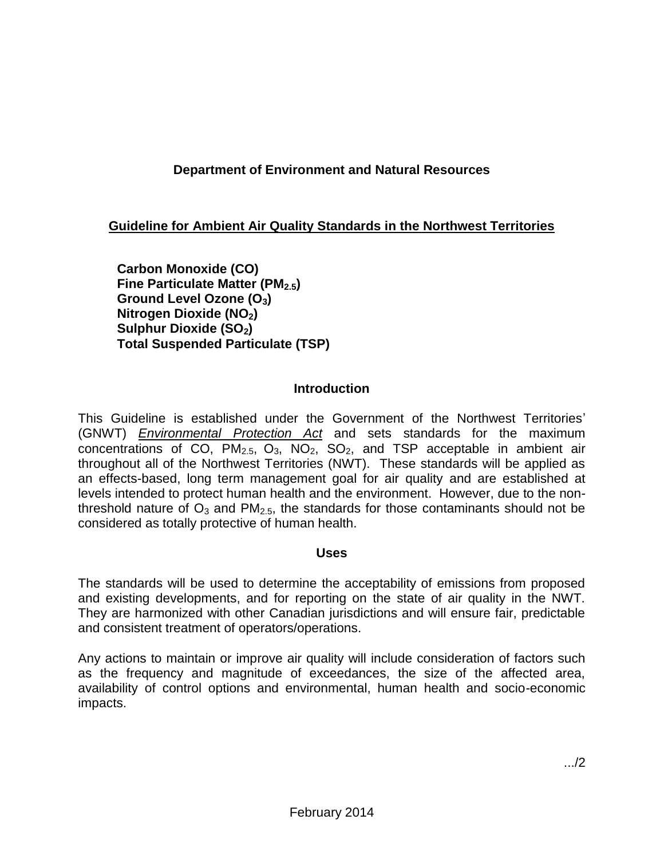# **Department of Environment and Natural Resources**

# **Guideline for Ambient Air Quality Standards in the Northwest Territories**

**Carbon Monoxide (CO) Fine Particulate Matter (PM2.5) Ground Level Ozone (O3) Nitrogen Dioxide (NO2) Sulphur Dioxide (SO2) Total Suspended Particulate (TSP)**

### **Introduction**

This Guideline is established under the Government of the Northwest Territories' (GNWT) *Environmental Protection Act* and sets standards for the maximum concentrations of CO,  $PM_{2.5}$ ,  $O_3$ ,  $NO_2$ ,  $SO_2$ , and TSP acceptable in ambient air throughout all of the Northwest Territories (NWT). These standards will be applied as an effects-based, long term management goal for air quality and are established at levels intended to protect human health and the environment. However, due to the nonthreshold nature of  $O_3$  and  $PM_{2.5}$ , the standards for those contaminants should not be considered as totally protective of human health.

#### **Uses**

The standards will be used to determine the acceptability of emissions from proposed and existing developments, and for reporting on the state of air quality in the NWT. They are harmonized with other Canadian jurisdictions and will ensure fair, predictable and consistent treatment of operators/operations.

Any actions to maintain or improve air quality will include consideration of factors such as the frequency and magnitude of exceedances, the size of the affected area, availability of control options and environmental, human health and socio-economic impacts.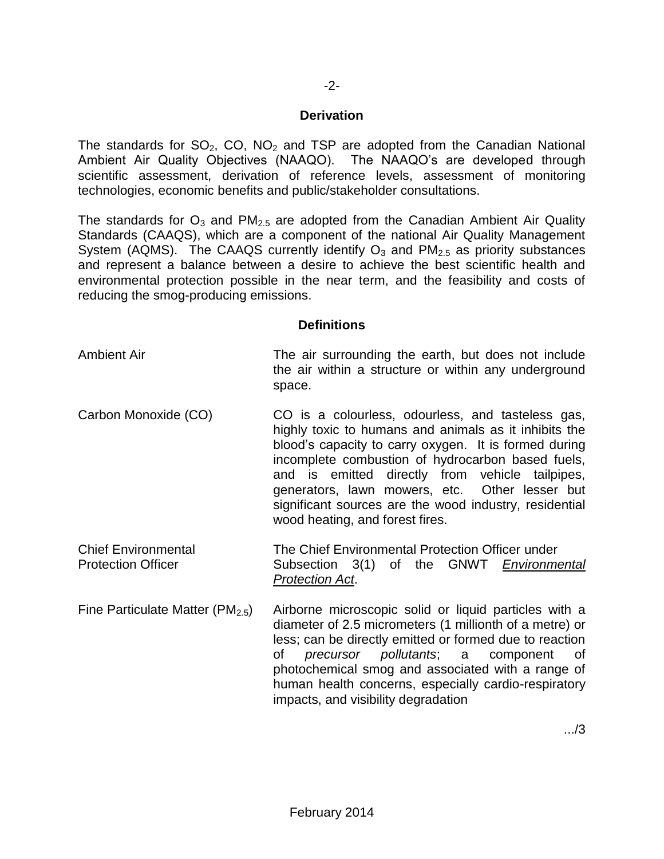#### **Derivation**

The standards for  $SO_2$ ,  $CO$ ,  $NO_2$  and TSP are adopted from the Canadian National Ambient Air Quality Objectives (NAAQO). The NAAQO's are developed through scientific assessment, derivation of reference levels, assessment of monitoring technologies, economic benefits and public/stakeholder consultations.

The standards for  $O_3$  and  $PM_{2.5}$  are adopted from the Canadian Ambient Air Quality Standards (CAAQS), which are a component of the national Air Quality Management System (AQMS). The CAAQS currently identify  $O_3$  and  $PM_{2.5}$  as priority substances and represent a balance between a desire to achieve the best scientific health and environmental protection possible in the near term, and the feasibility and costs of reducing the smog-producing emissions.

#### **Definitions**

### Ambient Air The air surrounding the earth, but does not include the air within a structure or within any underground space.

- Carbon Monoxide (CO) CO is a colourless, odourless, and tasteless gas, highly toxic to humans and animals as it inhibits the blood's capacity to carry oxygen. It is formed during incomplete combustion of hydrocarbon based fuels, and is emitted directly from vehicle tailpipes, generators, lawn mowers, etc. Other lesser but significant sources are the wood industry, residential wood heating, and forest fires.
- Chief Environmental The Chief Environmental Protection Officer under Protection Officer Subsection 3(1) of the GNWT *Environmental Protection Act*.
- Fine Particulate Matter ( $PM_{2.5}$ ) Airborne microscopic solid or liquid particles with a diameter of 2.5 micrometers (1 millionth of a metre) or less; can be directly emitted or formed due to reaction of *precursor pollutants*; a component of photochemical smog and associated with a range of human health concerns, especially cardio-respiratory impacts, and visibility degradation

.../3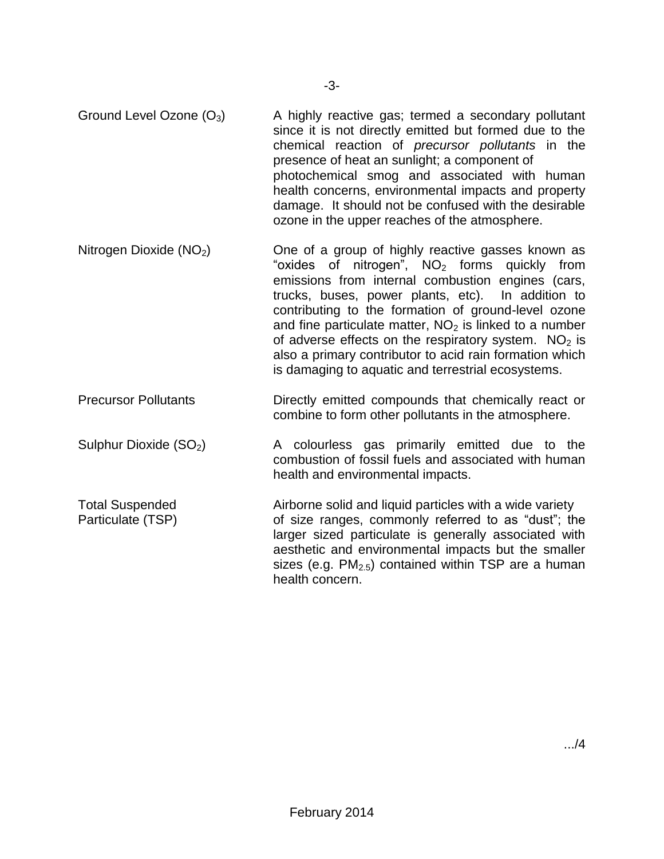- Ground Level Ozone  $(O_3)$  A highly reactive gas; termed a secondary pollutant since it is not directly emitted but formed due to the chemical reaction of *precursor pollutants* in the presence of heat an sunlight; a component of photochemical smog and associated with human health concerns, environmental impacts and property damage. It should not be confused with the desirable ozone in the upper reaches of the atmosphere.
- Nitrogen Dioxide  $(NO<sub>2</sub>)$  One of a group of highly reactive gasses known as "oxides of nitrogen",  $NO<sub>2</sub>$  forms quickly from emissions from internal combustion engines (cars, trucks, buses, power plants, etc). In addition to contributing to the formation of ground-level ozone and fine particulate matter,  $NO<sub>2</sub>$  is linked to a number of adverse effects on the respiratory system.  $NO<sub>2</sub>$  is also a primary contributor to acid rain formation which is damaging to aquatic and terrestrial ecosystems.
- Precursor Pollutants **Directly emitted compounds that chemically react or** combine to form other pollutants in the atmosphere.
- Sulphur Dioxide  $(SO_2)$  A colourless gas primarily emitted due to the combustion of fossil fuels and associated with human health and environmental impacts.
- Total Suspended Airborne solid and liquid particles with a wide variety Particulate (TSP) of size ranges, commonly referred to as "dust"; the larger sized particulate is generally associated with aesthetic and environmental impacts but the smaller sizes (e.g.  $PM_{2.5}$ ) contained within TSP are a human health concern.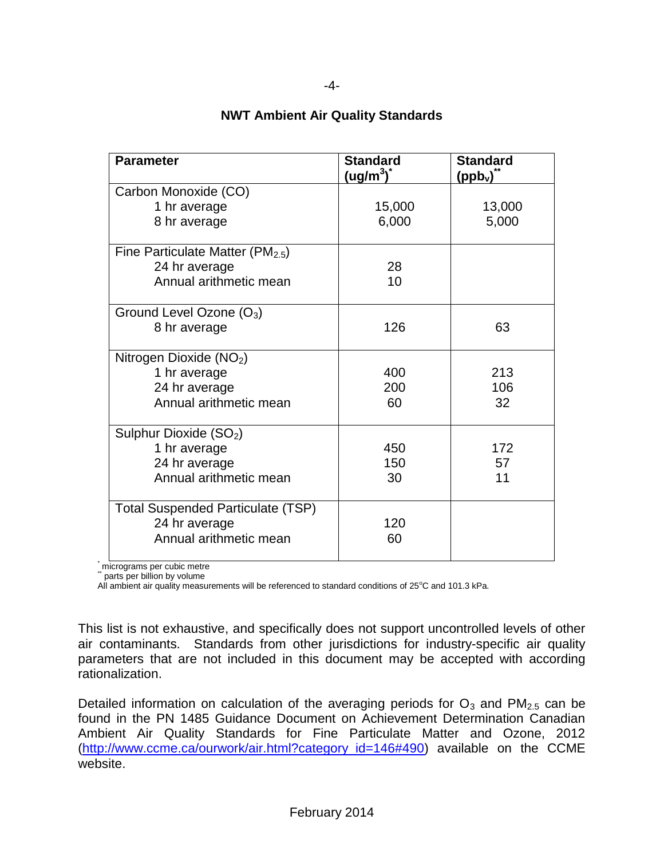| <b>Parameter</b>                         | <b>Standard</b><br>$\left(\frac{\text{ug}}{\text{m}^3}\right)^*$ | <b>Standard</b><br>$\mathsf{(ppb_v)}^{\check{}}$ |
|------------------------------------------|------------------------------------------------------------------|--------------------------------------------------|
| Carbon Monoxide (CO)                     |                                                                  |                                                  |
| 1 hr average                             | 15,000                                                           | 13,000                                           |
| 8 hr average                             | 6,000                                                            | 5,000                                            |
| Fine Particulate Matter ( $PM2.5$ )      |                                                                  |                                                  |
| 24 hr average                            | 28                                                               |                                                  |
| Annual arithmetic mean                   | 10                                                               |                                                  |
| Ground Level Ozone (O <sub>3</sub> )     |                                                                  |                                                  |
| 8 hr average                             | 126                                                              | 63                                               |
| Nitrogen Dioxide (NO <sub>2</sub> )      |                                                                  |                                                  |
| 1 hr average                             | 400                                                              | 213                                              |
| 24 hr average                            | 200                                                              | 106                                              |
| Annual arithmetic mean                   | 60                                                               | 32                                               |
| Sulphur Dioxide (SO <sub>2</sub> )       |                                                                  |                                                  |
| 1 hr average                             | 450                                                              | 172                                              |
| 24 hr average                            | 150                                                              | 57                                               |
| Annual arithmetic mean                   | 30                                                               | 11                                               |
| <b>Total Suspended Particulate (TSP)</b> |                                                                  |                                                  |
| 24 hr average                            | 120                                                              |                                                  |
| Annual arithmetic mean                   | 60                                                               |                                                  |

# **NWT Ambient Air Quality Standards**

micrograms per cubic metre

parts per billion by volume

All ambient air quality measurements will be referenced to standard conditions of 25°C and 101.3 kPa.

This list is not exhaustive, and specifically does not support uncontrolled levels of other air contaminants. Standards from other jurisdictions for industry-specific air quality parameters that are not included in this document may be accepted with according rationalization.

Detailed information on calculation of the averaging periods for  $O_3$  and  $PM_{2.5}$  can be found in the PN 1485 Guidance Document on Achievement Determination Canadian Ambient Air Quality Standards for Fine Particulate Matter and Ozone, 2012 [\(http://www.ccme.ca/ourwork/air.html?category\\_id=146#490\)](http://www.ccme.ca/ourwork/air.html?category_id=146#490) available on the CCME website.